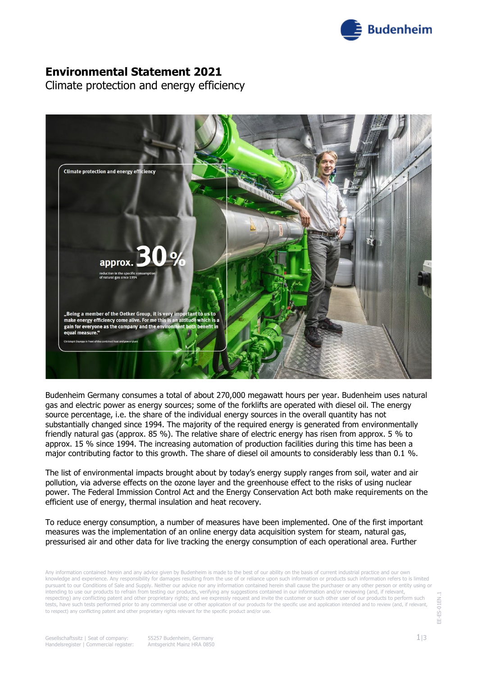

### **Environmental Statement 2021**

Climate protection and energy efficiency



Budenheim Germany consumes a total of about 270,000 megawatt hours per year. Budenheim uses natural gas and electric power as energy sources; some of the forklifts are operated with diesel oil. The energy source percentage, i.e. the share of the individual energy sources in the overall quantity has not substantially changed since 1994. The majority of the required energy is generated from environmentally friendly natural gas (approx. 85 %). The relative share of electric energy has risen from approx. 5 % to approx. 15 % since 1994. The increasing automation of production facilities during this time has been a major contributing factor to this growth. The share of diesel oil amounts to considerably less than 0.1 %.

The list of environmental impacts brought about by today's energy supply ranges from soil, water and air pollution, via adverse effects on the ozone layer and the greenhouse effect to the risks of using nuclear power. The Federal Immission Control Act and the Energy Conservation Act both make requirements on the efficient use of energy, thermal insulation and heat recovery.

To reduce energy consumption, a number of measures have been implemented. One of the first important measures was the implementation of an online energy data acquisition system for steam, natural gas, pressurised air and other data for live tracking the energy consumption of each operational area. Further

Any information contained herein and any advice given by Budenheim is made to the best of our ability on the basis of current industrial practice and our own knowledge and experience. Any responsibility for damages resulting from the use of or reliance upon such information or products such information refers to is limited pursuant to our Conditions of Sale and Supply. Neither our advice nor any information contained herein shall cause the purchaser or any other person or entity using or intending to use our products to refrain from testing our products, verifying any suggestions contained in our information and/or reviewing (and, if relevant, respecting) any conflicting patent and other proprietary rights; and we expressly request and invite the customer or such other user of our products to perform such tests, have such tests performed prior to any commercial use or other application of our products for the specific use and application intended and to review (and, if relevant, to respect) any conflicting patent and other proprietary rights relevant for the specific product and/or use.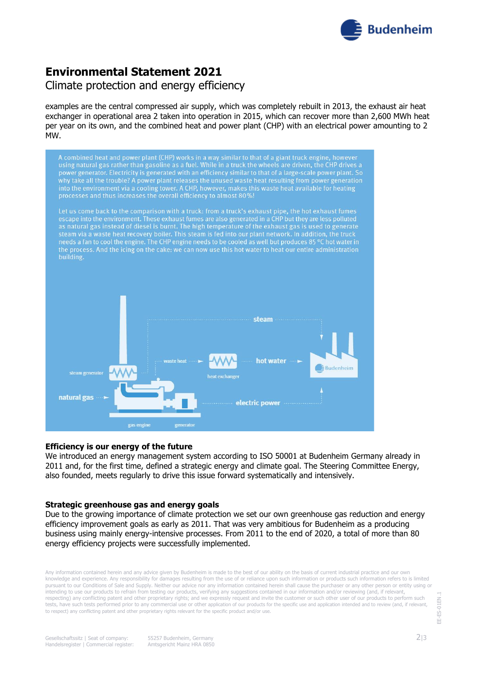

# **Environmental Statement 2021**

### Climate protection and energy efficiency

examples are the central compressed air supply, which was completely rebuilt in 2013, the exhaust air heat exchanger in operational area 2 taken into operation in 2015, which can recover more than 2,600 MWh heat per year on its own, and the combined heat and power plant (CHP) with an electrical power amounting to 2 MW.



#### **Efficiency is our energy of the future**

We introduced an energy management system according to ISO 50001 at Budenheim Germany already in 2011 and, for the first time, defined a strategic energy and climate goal. The Steering Committee Energy, also founded, meets regularly to drive this issue forward systematically and intensively.

#### **Strategic greenhouse gas and energy goals**

Due to the growing importance of climate protection we set our own greenhouse gas reduction and energy efficiency improvement goals as early as 2011. That was very ambitious for Budenheim as a producing business using mainly energy-intensive processes. From 2011 to the end of 2020, a total of more than 80 energy efficiency projects were successfully implemented.

Any information contained herein and any advice given by Budenheim is made to the best of our ability on the basis of current industrial practice and our own knowledge and experience. Any responsibility for damages resulting from the use of or reliance upon such information or products such information refers to is limited pursuant to our Conditions of Sale and Supply. Neither our advice nor any information contained herein shall cause the purchaser or any other person or entity using or intending to use our products to refrain from testing our products, verifying any suggestions contained in our information and/or reviewing (and, if relevant, respecting) any conflicting patent and other proprietary rights; and we expressly request and invite the customer or such other user of our products to perform such tests, have such tests performed prior to any commercial use or other application of our products for the specific use and application intended and to review (and, if relevant, to respect) any conflicting patent and other proprietary rights relevant for the specific product and/or use.

EE-ES-01EN